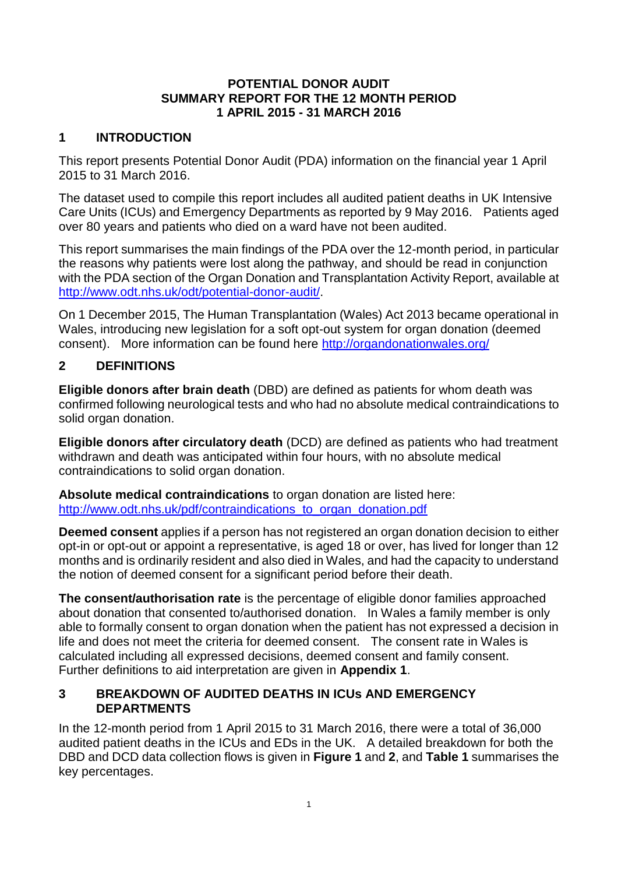#### **POTENTIAL DONOR AUDIT SUMMARY REPORT FOR THE 12 MONTH PERIOD 1 APRIL 2015 - 31 MARCH 2016**

#### **1 INTRODUCTION**

This report presents Potential Donor Audit (PDA) information on the financial year 1 April 2015 to 31 March 2016.

The dataset used to compile this report includes all audited patient deaths in UK Intensive Care Units (ICUs) and Emergency Departments as reported by 9 May 2016. Patients aged over 80 years and patients who died on a ward have not been audited.

This report summarises the main findings of the PDA over the 12-month period, in particular the reasons why patients were lost along the pathway, and should be read in conjunction with the PDA section of the Organ Donation and Transplantation Activity Report, available at [http://www.odt.nhs.uk/odt/potential-donor-audit/.](http://www.odt.nhs.uk/odt/potential-donor-audit/)

On 1 December 2015, The Human Transplantation (Wales) Act 2013 became operational in Wales, introducing new legislation for a soft opt-out system for organ donation (deemed consent). More information can be found here<http://organdonationwales.org/>

## **2 DEFINITIONS**

**Eligible donors after brain death** (DBD) are defined as patients for whom death was confirmed following neurological tests and who had no absolute medical contraindications to solid organ donation.

**Eligible donors after circulatory death** (DCD) are defined as patients who had treatment withdrawn and death was anticipated within four hours, with no absolute medical contraindications to solid organ donation.

**Absolute medical contraindications** to organ donation are listed here: [http://www.odt.nhs.uk/pdf/contraindications\\_to\\_organ\\_donation.pdf](http://www.odt.nhs.uk/pdf/contraindications_to_organ_donation.pdf)

**Deemed consent** applies if a person has not registered an organ donation decision to either opt-in or opt-out or appoint a representative, is aged 18 or over, has lived for longer than 12 months and is ordinarily resident and also died in Wales, and had the capacity to understand the notion of deemed consent for a significant period before their death.

**The consent/authorisation rate** is the percentage of eligible donor families approached about donation that consented to/authorised donation. In Wales a family member is only able to formally consent to organ donation when the patient has not expressed a decision in life and does not meet the criteria for deemed consent. The consent rate in Wales is calculated including all expressed decisions, deemed consent and family consent. Further definitions to aid interpretation are given in **Appendix 1**.

#### **3 BREAKDOWN OF AUDITED DEATHS IN ICUs AND EMERGENCY DEPARTMENTS**

In the 12-month period from 1 April 2015 to 31 March 2016, there were a total of 36,000 audited patient deaths in the ICUs and EDs in the UK. A detailed breakdown for both the DBD and DCD data collection flows is given in **Figure 1** and **2**, and **Table 1** summarises the key percentages.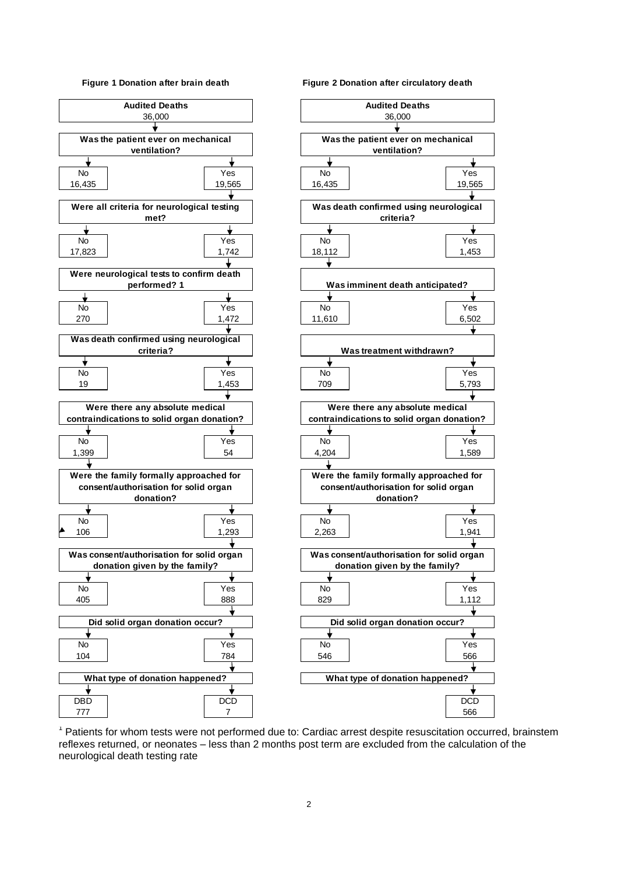#### **Figure 1 Donation after brain death**



#### **Figure 2 Donation after circulatory death**



<sup>1</sup> Patients for whom tests were not performed due to: Cardiac arrest despite resuscitation occurred, brainstem reflexes returned, or neonates - less than 2 months post term are excluded from the calculation of the neurological death testing rate berstegiezh zezh) returned, or neonates - les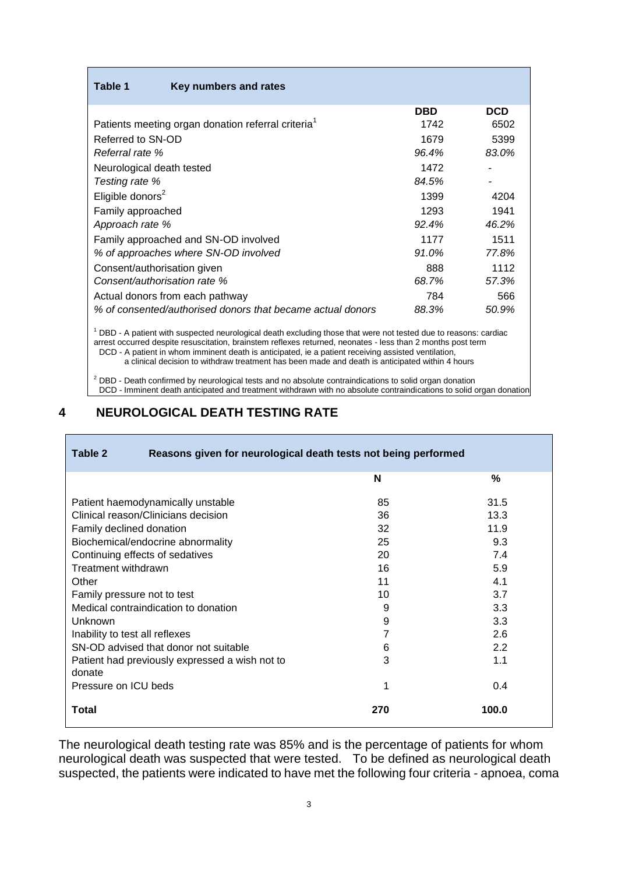| Table 1<br>Key numbers and rates                               |            |            |
|----------------------------------------------------------------|------------|------------|
|                                                                | <b>DBD</b> | <b>DCD</b> |
| Patients meeting organ donation referral criteria <sup>1</sup> | 1742       | 6502       |
| Referred to SN-OD                                              | 1679       | 5399       |
| Referral rate %                                                | 96.4%      | 83.0%      |
| Neurological death tested                                      | 1472       |            |
| Testing rate %                                                 | 84.5%      |            |
| Eligible donors <sup>2</sup>                                   | 1399       | 4204       |
| Family approached                                              | 1293       | 1941       |
| Approach rate %                                                | 92.4%      | 46.2%      |
| Family approached and SN-OD involved                           | 1177       | 1511       |
| % of approaches where SN-OD involved                           | 91.0%      | 77.8%      |
| Consent/authorisation given                                    | 888        | 1112       |
| Consent/authorisation rate %                                   | 68.7%      | 57.3%      |
| Actual donors from each pathway                                | 784        | 566        |
| % of consented/authorised donors that became actual donors     | 88.3%      | 50.9%      |

<sup>1</sup> DBD - A patient with suspected neurological death excluding those that were not tested due to reasons: cardiac arrest occurred despite resuscitation, brainstem reflexes returned, neonates - less than 2 months post term <sup>1</sup> DCD - A patient in whom imminent death is anticipated, ie a patient receiving assisted ventilation,

a clinical decision to withdraw treatment has been made and death is anticipated within 4 hours

<sup>2</sup> DBD - Death confirmed by neurological tests and no absolute contraindications to solid organ donation

<sup>2</sup> DCD - Imminent death anticipated and treatment withdrawn with no absolute contraindications to solid organ donation

#### **4 NEUROLOGICAL DEATH TESTING RATE**

| Table 2<br>Reasons given for neurological death tests not being performed |     |       |
|---------------------------------------------------------------------------|-----|-------|
|                                                                           | N   | %     |
| Patient haemodynamically unstable                                         | 85  | 31.5  |
| Clinical reason/Clinicians decision                                       | 36  | 13.3  |
| Family declined donation                                                  | 32  | 11.9  |
| Biochemical/endocrine abnormality                                         | 25  | 9.3   |
| Continuing effects of sedatives                                           | 20  | 7.4   |
| Treatment withdrawn                                                       | 16  | 5.9   |
| Other                                                                     | 11  | 4.1   |
| Family pressure not to test                                               | 10  | 3.7   |
| Medical contraindication to donation                                      | 9   | 3.3   |
| Unknown                                                                   | 9   | 3.3   |
| Inability to test all reflexes                                            |     | 2.6   |
| SN-OD advised that donor not suitable                                     | 6   | 2.2   |
| Patient had previously expressed a wish not to                            | 3   | 1.1   |
| donate                                                                    |     |       |
| Pressure on ICU beds                                                      | 1   | 0.4   |
| Total                                                                     | 270 | 100.0 |

The neurological death testing rate was 85% and is the percentage of patients for whom neurological death was suspected that were tested. To be defined as neurological death suspected, the patients were indicated to have met the following four criteria - apnoea, coma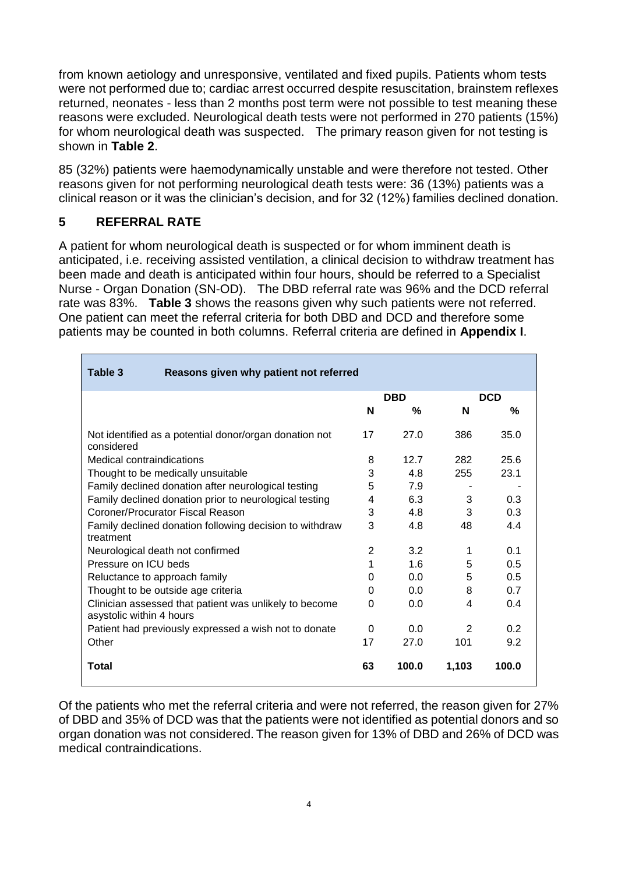from known aetiology and unresponsive, ventilated and fixed pupils. Patients whom tests were not performed due to; cardiac arrest occurred despite resuscitation, brainstem reflexes returned, neonates - less than 2 months post term were not possible to test meaning these reasons were excluded. Neurological death tests were not performed in 270 patients (15%) for whom neurological death was suspected. The primary reason given for not testing is shown in **Table 2**.

85 (32%) patients were haemodynamically unstable and were therefore not tested. Other reasons given for not performing neurological death tests were: 36 (13%) patients was a clinical reason or it was the clinician's decision, and for 32 (12%) families declined donation.

## **5 REFERRAL RATE**

A patient for whom neurological death is suspected or for whom imminent death is anticipated, i.e. receiving assisted ventilation, a clinical decision to withdraw treatment has been made and death is anticipated within four hours, should be referred to a Specialist Nurse - Organ Donation (SN-OD). The DBD referral rate was 96% and the DCD referral rate was 83%. **Table 3** shows the reasons given why such patients were not referred. One patient can meet the referral criteria for both DBD and DCD and therefore some patients may be counted in both columns. Referral criteria are defined in **Appendix I**.

| Table 3<br>Reasons given why patient not referred                                  |            |       |               |       |
|------------------------------------------------------------------------------------|------------|-------|---------------|-------|
|                                                                                    | <b>DBD</b> |       | <b>DCD</b>    |       |
|                                                                                    | N          | %     | N             | %     |
| Not identified as a potential donor/organ donation not<br>considered               | 17         | 27.0  | 386           | 35.0  |
| Medical contraindications                                                          | 8          | 12.7  | 282           | 25.6  |
| Thought to be medically unsuitable                                                 | 3          | 4.8   | 255           | 23.1  |
| Family declined donation after neurological testing                                | 5          | 7.9   |               |       |
| Family declined donation prior to neurological testing                             | 4          | 6.3   | 3             | 0.3   |
| Coroner/Procurator Fiscal Reason                                                   |            | 4.8   | 3             | 0.3   |
| Family declined donation following decision to withdraw<br>treatment               |            | 4.8   | 48            | 4.4   |
| Neurological death not confirmed                                                   | 2          | 3.2   | 1             | 0.1   |
| Pressure on ICU beds                                                               | 1          | 1.6   | 5             | 0.5   |
| Reluctance to approach family                                                      | 0          | 0.0   | 5             | 0.5   |
| Thought to be outside age criteria                                                 | $\Omega$   | 0.0   | 8             | 0.7   |
| Clinician assessed that patient was unlikely to become<br>asystolic within 4 hours | $\Omega$   | 0.0   | 4             | 0.4   |
| Patient had previously expressed a wish not to donate                              | 0          | 0.0   | $\mathcal{P}$ | 0.2   |
| Other                                                                              | 17         | 27.0  | 101           | 9.2   |
| Total                                                                              | 63         | 100.0 | 1,103         | 100.0 |

Of the patients who met the referral criteria and were not referred, the reason given for 27% of DBD and 35% of DCD was that the patients were not identified as potential donors and so organ donation was not considered. The reason given for 13% of DBD and 26% of DCD was medical contraindications.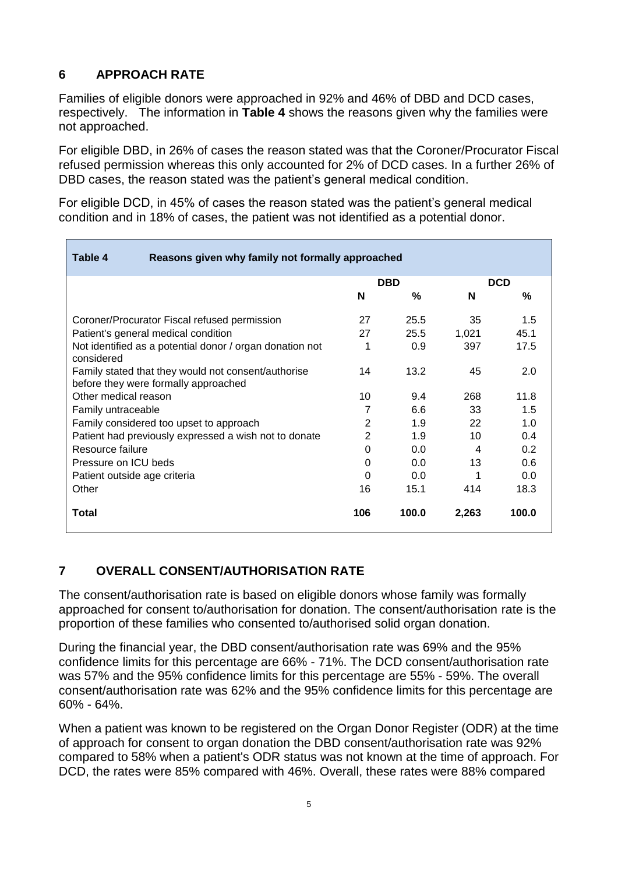# **6 APPROACH RATE**

Families of eligible donors were approached in 92% and 46% of DBD and DCD cases, respectively. The information in **Table 4** shows the reasons given why the families were not approached.

For eligible DBD, in 26% of cases the reason stated was that the Coroner/Procurator Fiscal refused permission whereas this only accounted for 2% of DCD cases. In a further 26% of DBD cases, the reason stated was the patient's general medical condition.

For eligible DCD, in 45% of cases the reason stated was the patient's general medical condition and in 18% of cases, the patient was not identified as a potential donor.

| Table 4<br>Reasons given why family not formally approached                                 |          |            |       |            |
|---------------------------------------------------------------------------------------------|----------|------------|-------|------------|
|                                                                                             |          | <b>DBD</b> |       | <b>DCD</b> |
|                                                                                             | N        | $\%$       | N     | %          |
| Coroner/Procurator Fiscal refused permission                                                | 27       | 25.5       | 35    | 1.5        |
| Patient's general medical condition                                                         | 27       | 25.5       | 1,021 | 45.1       |
| Not identified as a potential donor / organ donation not<br>considered                      |          | 0.9        | 397   | 17.5       |
| Family stated that they would not consent/authorise<br>before they were formally approached |          | 13.2       | 45    | 2.0        |
| Other medical reason                                                                        | 10       | 9.4        | 268   | 11.8       |
| Family untraceable                                                                          | 7        | 6.6        | 33    | 1.5        |
| Family considered too upset to approach                                                     |          | 1.9        | 22    | 1.0        |
| Patient had previously expressed a wish not to donate                                       | 2        | 1.9        | 10    | 0.4        |
| Resource failure                                                                            | $\Omega$ | 0.0        | 4     | 0.2        |
| Pressure on ICU beds                                                                        | 0        | 0.0        | 13    | 0.6        |
| Patient outside age criteria                                                                | 0        | 0.0        |       | 0.0        |
| Other                                                                                       | 16       | 15.1       | 414   | 18.3       |
| Total                                                                                       | 106      | 100.0      | 2,263 | 100.0      |

# **7 OVERALL CONSENT/AUTHORISATION RATE**

The consent/authorisation rate is based on eligible donors whose family was formally approached for consent to/authorisation for donation. The consent/authorisation rate is the proportion of these families who consented to/authorised solid organ donation.

During the financial year, the DBD consent/authorisation rate was 69% and the 95% confidence limits for this percentage are 66% - 71%. The DCD consent/authorisation rate was 57% and the 95% confidence limits for this percentage are 55% - 59%. The overall consent/authorisation rate was 62% and the 95% confidence limits for this percentage are 60% - 64%.

When a patient was known to be registered on the Organ Donor Register (ODR) at the time of approach for consent to organ donation the DBD consent/authorisation rate was 92% compared to 58% when a patient's ODR status was not known at the time of approach. For DCD, the rates were 85% compared with 46%. Overall, these rates were 88% compared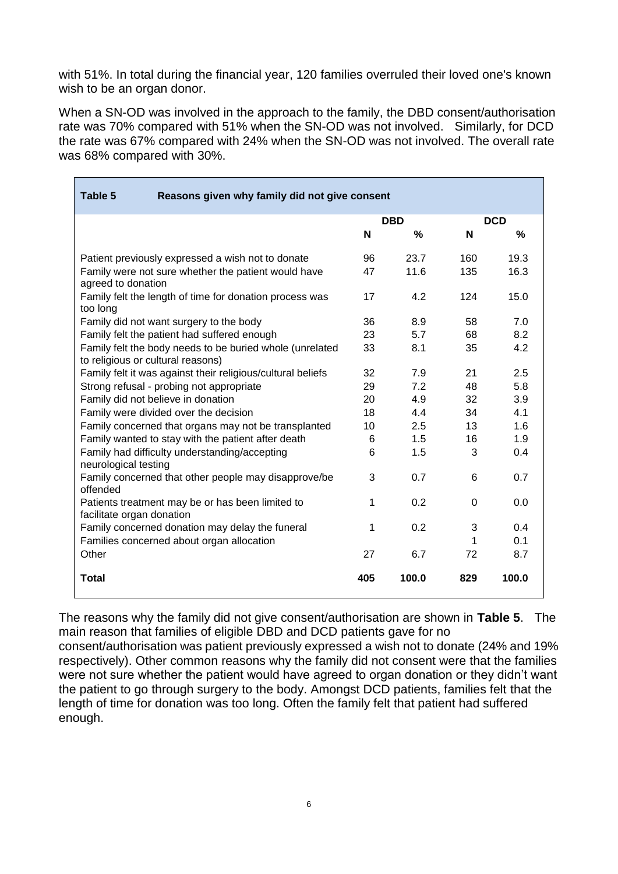with 51%. In total during the financial year, 120 families overruled their loved one's known wish to be an organ donor.

When a SN-OD was involved in the approach to the family, the DBD consent/authorisation rate was 70% compared with 51% when the SN-OD was not involved. Similarly, for DCD the rate was 67% compared with 24% when the SN-OD was not involved. The overall rate was 68% compared with 30%.

| Table 5<br>Reasons given why family did not give consent                                      |     |            |          |            |
|-----------------------------------------------------------------------------------------------|-----|------------|----------|------------|
|                                                                                               |     | <b>DBD</b> |          | <b>DCD</b> |
|                                                                                               | N   | $\%$       | N        | $\%$       |
| Patient previously expressed a wish not to donate                                             | 96  | 23.7       | 160      | 19.3       |
| Family were not sure whether the patient would have<br>agreed to donation                     | 47  | 11.6       | 135      | 16.3       |
| Family felt the length of time for donation process was<br>too long                           | 17  | 4.2        | 124      | 15.0       |
| Family did not want surgery to the body                                                       | 36  | 8.9        | 58       | 7.0        |
| Family felt the patient had suffered enough                                                   | 23  | 5.7        | 68       | 8.2        |
| Family felt the body needs to be buried whole (unrelated<br>to religious or cultural reasons) | 33  | 8.1        | 35       | 4.2        |
| Family felt it was against their religious/cultural beliefs                                   |     | 7.9        | 21       | 2.5        |
| Strong refusal - probing not appropriate                                                      | 29  | 7.2        | 48       | 5.8        |
| Family did not believe in donation                                                            | 20  | 4.9        | 32       | 3.9        |
| Family were divided over the decision                                                         |     | 4.4        | 34       | 4.1        |
| Family concerned that organs may not be transplanted                                          |     | 2.5        | 13       | 1.6        |
| Family wanted to stay with the patient after death                                            | 6   | 1.5        | 16       | 1.9        |
| Family had difficulty understanding/accepting<br>neurological testing                         |     | 1.5        | 3        | 0.4        |
| Family concerned that other people may disapprove/be<br>offended                              | 3   | 0.7        | 6        | 0.7        |
| Patients treatment may be or has been limited to<br>facilitate organ donation                 | 1   | 0.2        | $\Omega$ | 0.0        |
| Family concerned donation may delay the funeral                                               | 1   | 0.2        | 3        | 0.4        |
| Families concerned about organ allocation                                                     |     |            | 1        | 0.1        |
| Other                                                                                         | 27  | 6.7        | 72       | 8.7        |
| <b>Total</b>                                                                                  | 405 | 100.0      | 829      | 100.0      |

The reasons why the family did not give consent/authorisation are shown in **Table 5**. The main reason that families of eligible DBD and DCD patients gave for no

consent/authorisation was patient previously expressed a wish not to donate (24% and 19% respectively). Other common reasons why the family did not consent were that the families were not sure whether the patient would have agreed to organ donation or they didn't want the patient to go through surgery to the body. Amongst DCD patients, families felt that the length of time for donation was too long. Often the family felt that patient had suffered enough.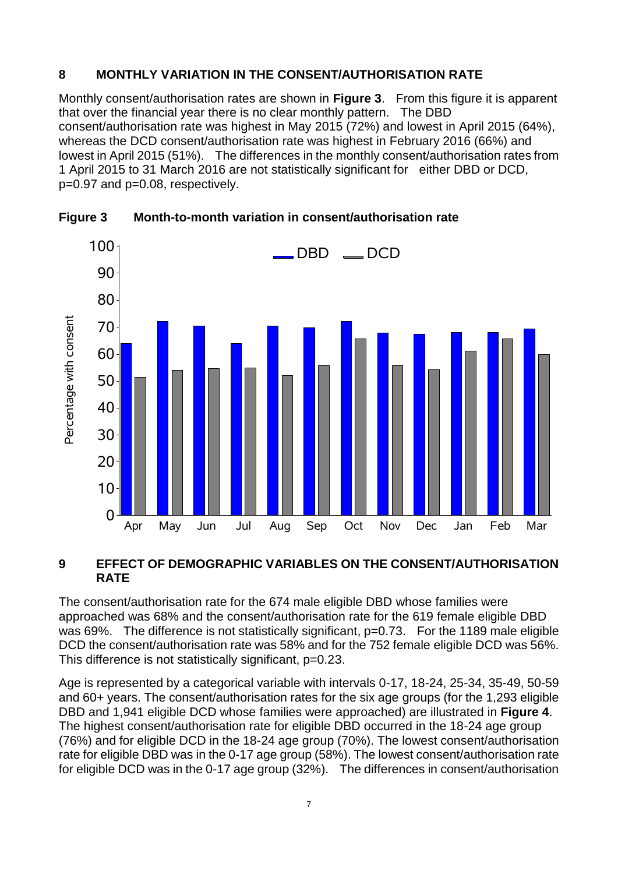#### **8 MONTHLY VARIATION IN THE CONSENT/AUTHORISATION RATE**

Monthly consent/authorisation rates are shown in **Figure 3**. From this figure it is apparent that over the financial year there is no clear monthly pattern. The DBD consent/authorisation rate was highest in May 2015 (72%) and lowest in April 2015 (64%), whereas the DCD consent/authorisation rate was highest in February 2016 (66%) and lowest in April 2015 (51%). The differences in the monthly consent/authorisation rates from 1 April 2015 to 31 March 2016 are not statistically significant for either DBD or DCD, p=0.97 and p=0.08, respectively.



**Figure 3 Month-to-month variation in consent/authorisation rate**

#### **9 EFFECT OF DEMOGRAPHIC VARIABLES ON THE CONSENT/AUTHORISATION RATE**

The consent/authorisation rate for the 674 male eligible DBD whose families were approached was 68% and the consent/authorisation rate for the 619 female eligible DBD was 69%. The difference is not statistically significant, p=0.73. For the 1189 male eligible DCD the consent/authorisation rate was 58% and for the 752 female eligible DCD was 56%. This difference is not statistically significant, p=0.23.

Age is represented by a categorical variable with intervals 0-17, 18-24, 25-34, 35-49, 50-59 and 60+ years. The consent/authorisation rates for the six age groups (for the 1,293 eligible DBD and 1,941 eligible DCD whose families were approached) are illustrated in **Figure 4**. The highest consent/authorisation rate for eligible DBD occurred in the 18-24 age group (76%) and for eligible DCD in the 18-24 age group (70%). The lowest consent/authorisation rate for eligible DBD was in the 0-17 age group (58%). The lowest consent/authorisation rate for eligible DCD was in the 0-17 age group (32%). The differences in consent/authorisation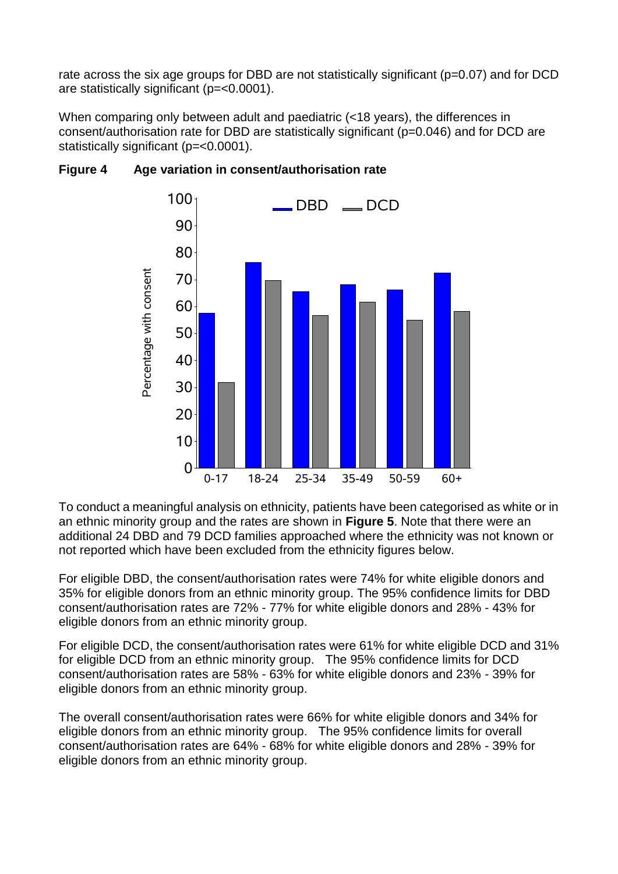rate across the six age groups for DBD are not statistically significant (p=0.07) and for DCD are statistically significant (p=<0.0001).

When comparing only between adult and paediatric (<18 years), the differences in consent/authorisation rate for DBD are statistically significant (p=0.046) and for DCD are statistically significant (p=<0.0001).



## **Figure 4 Age variation in consent/authorisation rate**

To conduct a meaningful analysis on ethnicity, patients have been categorised as white or in an ethnic minority group and the rates are shown in **Figure 5**. Note that there were an additional 24 DBD and 79 DCD families approached where the ethnicity was not known or not reported which have been excluded from the ethnicity figures below.

For eligible DBD, the consent/authorisation rates were 74% for white eligible donors and 35% for eligible donors from an ethnic minority group. The 95% confidence limits for DBD consent/authorisation rates are 72% - 77% for white eligible donors and 28% - 43% for eligible donors from an ethnic minority group.

For eligible DCD, the consent/authorisation rates were 61% for white eligible DCD and 31% for eligible DCD from an ethnic minority group. The 95% confidence limits for DCD consent/authorisation rates are 58% - 63% for white eligible donors and 23% - 39% for eligible donors from an ethnic minority group.

The overall consent/authorisation rates were 66% for white eligible donors and 34% for eligible donors from an ethnic minority group. The 95% confidence limits for overall consent/authorisation rates are 64% - 68% for white eligible donors and 28% - 39% for eligible donors from an ethnic minority group.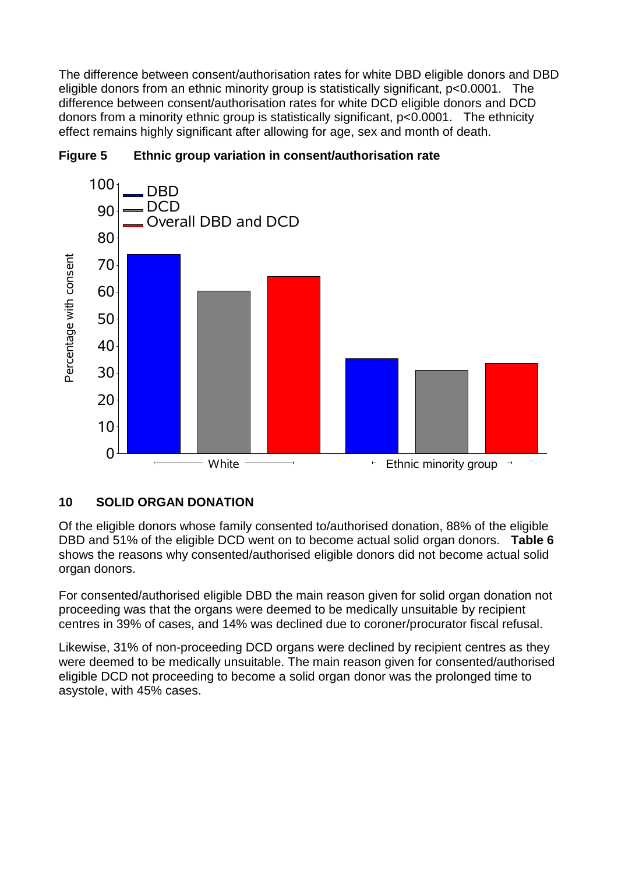The difference between consent/authorisation rates for white DBD eligible donors and DBD eligible donors from an ethnic minority group is statistically significant, p<0.0001. The difference between consent/authorisation rates for white DCD eligible donors and DCD donors from a minority ethnic group is statistically significant, p<0.0001. The ethnicity effect remains highly significant after allowing for age, sex and month of death.



## **Figure 5 Ethnic group variation in consent/authorisation rate**

## **10 SOLID ORGAN DONATION**

Of the eligible donors whose family consented to/authorised donation, 88% of the eligible DBD and 51% of the eligible DCD went on to become actual solid organ donors. **Table 6** shows the reasons why consented/authorised eligible donors did not become actual solid organ donors.

For consented/authorised eligible DBD the main reason given for solid organ donation not proceeding was that the organs were deemed to be medically unsuitable by recipient centres in 39% of cases, and 14% was declined due to coroner/procurator fiscal refusal.

Likewise, 31% of non-proceeding DCD organs were declined by recipient centres as they were deemed to be medically unsuitable. The main reason given for consented/authorised eligible DCD not proceeding to become a solid organ donor was the prolonged time to asystole, with 45% cases.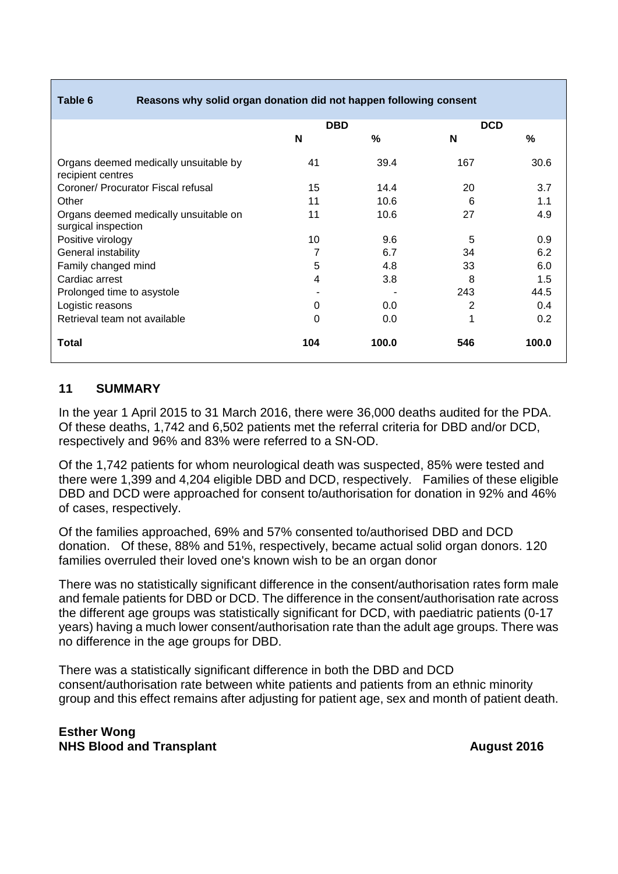#### **Table 6 Reasons why solid organ donation did not happen following consent**

|                                                              | <b>DBD</b> |       | <b>DCD</b> |       |
|--------------------------------------------------------------|------------|-------|------------|-------|
|                                                              | N          | %     | N          | $\%$  |
| Organs deemed medically unsuitable by<br>recipient centres   | 41         | 39.4  | 167        | 30.6  |
| Coroner/ Procurator Fiscal refusal                           | 15         | 14.4  | 20         | 3.7   |
| Other                                                        | 11         | 10.6  | 6          | 1.1   |
| Organs deemed medically unsuitable on<br>surgical inspection | 11         | 10.6  | 27         | 4.9   |
| Positive virology                                            | 10         | 9.6   | 5          | 0.9   |
| General instability                                          | 7          | 6.7   | 34         | 6.2   |
| Family changed mind                                          | 5          | 4.8   | 33         | 6.0   |
| Cardiac arrest                                               | 4          | 3.8   | 8          | 1.5   |
| Prolonged time to asystole                                   |            |       | 243        | 44.5  |
| Logistic reasons                                             | 0          | 0.0   | 2          | 0.4   |
| Retrieval team not available                                 | 0          | 0.0   | 1          | 0.2   |
| Total                                                        | 104        | 100.0 | 546        | 100.0 |

#### **11 SUMMARY**

In the year 1 April 2015 to 31 March 2016, there were 36,000 deaths audited for the PDA. Of these deaths, 1,742 and 6,502 patients met the referral criteria for DBD and/or DCD, respectively and 96% and 83% were referred to a SN-OD.

Of the 1,742 patients for whom neurological death was suspected, 85% were tested and there were 1,399 and 4,204 eligible DBD and DCD, respectively. Families of these eligible DBD and DCD were approached for consent to/authorisation for donation in 92% and 46% of cases, respectively.

Of the families approached, 69% and 57% consented to/authorised DBD and DCD donation. Of these, 88% and 51%, respectively, became actual solid organ donors. 120 families overruled their loved one's known wish to be an organ donor

There was no statistically significant difference in the consent/authorisation rates form male and female patients for DBD or DCD. The difference in the consent/authorisation rate across the different age groups was statistically significant for DCD, with paediatric patients (0-17 years) having a much lower consent/authorisation rate than the adult age groups. There was no difference in the age groups for DBD.

There was a statistically significant difference in both the DBD and DCD consent/authorisation rate between white patients and patients from an ethnic minority group and this effect remains after adjusting for patient age, sex and month of patient death.

**Esther Wong NHS Blood and Transplant August 2016**